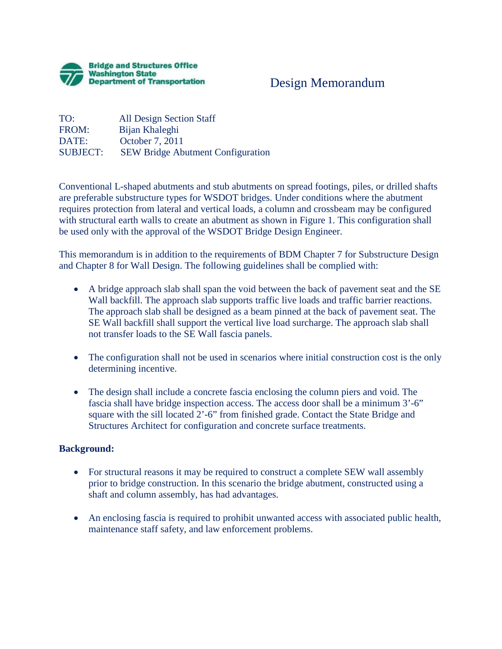

## Design Memorandum

TO: All Design Section Staff FROM: Bijan Khaleghi DATE: October 7, 2011 SUBJECT: SEW Bridge Abutment Configuration

Conventional L-shaped abutments and stub abutments on spread footings, piles, or drilled shafts are preferable substructure types for WSDOT bridges. Under conditions where the abutment requires protection from lateral and vertical loads, a column and crossbeam may be configured with structural earth walls to create an abutment as shown in Figure 1. This configuration shall be used only with the approval of the WSDOT Bridge Design Engineer.

This memorandum is in addition to the requirements of BDM Chapter 7 for Substructure Design and Chapter 8 for Wall Design. The following guidelines shall be complied with:

- A bridge approach slab shall span the void between the back of pavement seat and the SE Wall backfill. The approach slab supports traffic live loads and traffic barrier reactions. The approach slab shall be designed as a beam pinned at the back of pavement seat. The SE Wall backfill shall support the vertical live load surcharge. The approach slab shall not transfer loads to the SE Wall fascia panels.
- The configuration shall not be used in scenarios where initial construction cost is the only determining incentive.
- The design shall include a concrete fascia enclosing the column piers and void. The fascia shall have bridge inspection access. The access door shall be a minimum 3'-6" square with the sill located 2'-6" from finished grade. Contact the State Bridge and Structures Architect for configuration and concrete surface treatments.

## **Background:**

- For structural reasons it may be required to construct a complete SEW wall assembly prior to bridge construction. In this scenario the bridge abutment, constructed using a shaft and column assembly, has had advantages.
- An enclosing fascia is required to prohibit unwanted access with associated public health, maintenance staff safety, and law enforcement problems.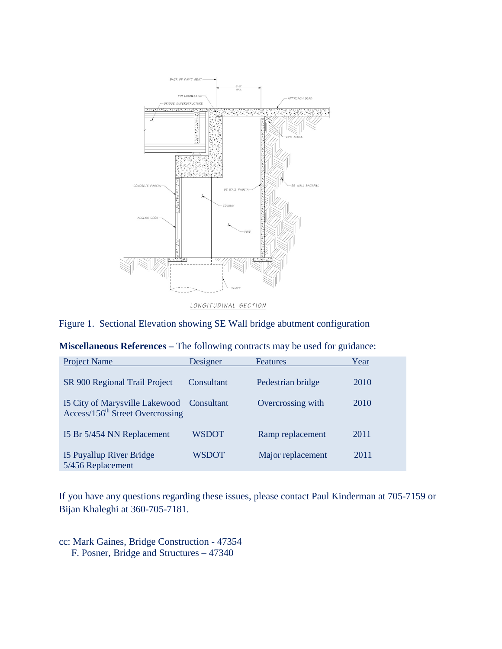

## Figure 1. Sectional Elevation showing SE Wall bridge abutment configuration

| <b>Project Name</b>                                                                       | Designer   | <b>Features</b>   | Year |
|-------------------------------------------------------------------------------------------|------------|-------------------|------|
| SR 900 Regional Trail Project                                                             | Consultant | Pedestrian bridge | 2010 |
| 15 City of Marysville Lakewood Consultant<br>Access/156 <sup>th</sup> Street Overcrossing |            | Overcrossing with | 2010 |
| 15 Br 5/454 NN Replacement                                                                | WSDOT      | Ramp replacement  | 2011 |
| 15 Puyallup River Bridge<br>5/456 Replacement                                             | WSDOT      | Major replacement | 2011 |

| Miscellaneous References - The following contracts may be used for guidance: |  |  |  |  |
|------------------------------------------------------------------------------|--|--|--|--|
|------------------------------------------------------------------------------|--|--|--|--|

If you have any questions regarding these issues, please contact Paul Kinderman at 705-7159 or Bijan Khaleghi at 360-705-7181.

cc: Mark Gaines, Bridge Construction - 47354 F. Posner, Bridge and Structures – 47340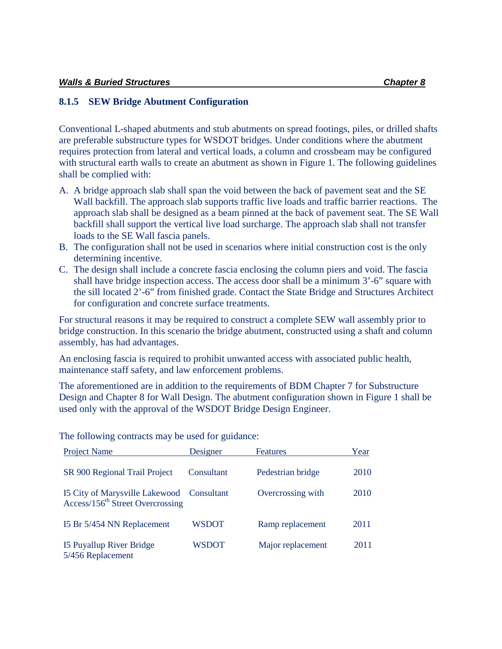## **8.1.5 SEW Bridge Abutment Configuration**

Conventional L-shaped abutments and stub abutments on spread footings, piles, or drilled shafts are preferable substructure types for WSDOT bridges. Under conditions where the abutment requires protection from lateral and vertical loads, a column and crossbeam may be configured with structural earth walls to create an abutment as shown in Figure 1. The following guidelines shall be complied with:

- A. A bridge approach slab shall span the void between the back of pavement seat and the SE Wall backfill. The approach slab supports traffic live loads and traffic barrier reactions. The approach slab shall be designed as a beam pinned at the back of pavement seat. The SE Wall backfill shall support the vertical live load surcharge. The approach slab shall not transfer loads to the SE Wall fascia panels.
- B. The configuration shall not be used in scenarios where initial construction cost is the only determining incentive.
- C. The design shall include a concrete fascia enclosing the column piers and void. The fascia shall have bridge inspection access. The access door shall be a minimum 3'-6" square with the sill located 2'-6" from finished grade. Contact the State Bridge and Structures Architect for configuration and concrete surface treatments.

For structural reasons it may be required to construct a complete SEW wall assembly prior to bridge construction. In this scenario the bridge abutment, constructed using a shaft and column assembly, has had advantages.

An enclosing fascia is required to prohibit unwanted access with associated public health, maintenance staff safety, and law enforcement problems.

The aforementioned are in addition to the requirements of BDM Chapter 7 for Substructure Design and Chapter 8 for Wall Design. The abutment configuration shown in Figure 1 shall be used only with the approval of the WSDOT Bridge Design Engineer.

| <b>Project Name</b>                                                                       | Designer   | <b>Features</b>   | Year |
|-------------------------------------------------------------------------------------------|------------|-------------------|------|
| SR 900 Regional Trail Project                                                             | Consultant | Pedestrian bridge | 2010 |
| 15 City of Marysville Lakewood Consultant<br>Access/156 <sup>th</sup> Street Overcrossing |            | Overcrossing with | 2010 |
| I5 Br 5/454 NN Replacement                                                                | WSDOT      | Ramp replacement  | 2011 |
| 15 Puyallup River Bridge<br>5/456 Replacement                                             | WSDOT      | Major replacement | 2011 |

The following contracts may be used for guidance: